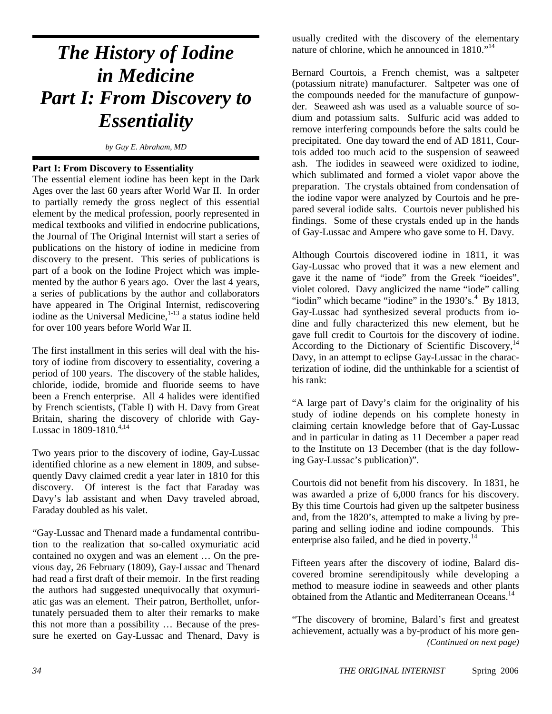# *The History of Iodine in Medicine Part I: From Discovery to Essentiality*

*by Guy E. Abraham, MD* 

#### **Part I: From Discovery to Essentiality**

The essential element iodine has been kept in the Dark Ages over the last 60 years after World War II. In order to partially remedy the gross neglect of this essential element by the medical profession, poorly represented in medical textbooks and vilified in endocrine publications, the Journal of The Original Internist will start a series of publications on the history of iodine in medicine from discovery to the present. This series of publications is part of a book on the Iodine Project which was implemented by the author 6 years ago. Over the last 4 years, a series of publications by the author and collaborators have appeared in The Original Internist, rediscovering iodine as the Universal Medicine, $1-13$  a status iodine held for over 100 years before World War II.

The first installment in this series will deal with the history of iodine from discovery to essentiality, covering a period of 100 years. The discovery of the stable halides, chloride, iodide, bromide and fluoride seems to have been a French enterprise. All 4 halides were identified by French scientists, (Table I) with H. Davy from Great Britain, sharing the discovery of chloride with Gay-Lussac in  $1809 - 1810^{4,14}$ 

Two years prior to the discovery of iodine, Gay-Lussac identified chlorine as a new element in 1809, and subsequently Davy claimed credit a year later in 1810 for this discovery. Of interest is the fact that Faraday was Davy's lab assistant and when Davy traveled abroad, Faraday doubled as his valet.

"Gay-Lussac and Thenard made a fundamental contribution to the realization that so-called oxymuriatic acid contained no oxygen and was an element … On the previous day, 26 February (1809), Gay-Lussac and Thenard had read a first draft of their memoir. In the first reading the authors had suggested unequivocally that oxymuriatic gas was an element. Their patron, Berthollet, unfortunately persuaded them to alter their remarks to make this not more than a possibility … Because of the pressure he exerted on Gay-Lussac and Thenard, Davy is usually credited with the discovery of the elementary nature of chlorine, which he announced in 1810."<sup>14</sup>

Bernard Courtois, a French chemist, was a saltpeter (potassium nitrate) manufacturer. Saltpeter was one of the compounds needed for the manufacture of gunpowder. Seaweed ash was used as a valuable source of sodium and potassium salts. Sulfuric acid was added to remove interfering compounds before the salts could be precipitated. One day toward the end of AD 1811, Courtois added too much acid to the suspension of seaweed ash. The iodides in seaweed were oxidized to iodine, which sublimated and formed a violet vapor above the preparation. The crystals obtained from condensation of the iodine vapor were analyzed by Courtois and he prepared several iodide salts. Courtois never published his findings. Some of these crystals ended up in the hands of Gay-Lussac and Ampere who gave some to H. Davy.

Although Courtois discovered iodine in 1811, it was Gay-Lussac who proved that it was a new element and gave it the name of "iode" from the Greek "ioeides", violet colored. Davy anglicized the name "iode" calling "iodin" which became "iodine" in the  $1930$ 's. $4$  By  $1813$ , Gay-Lussac had synthesized several products from iodine and fully characterized this new element, but he gave full credit to Courtois for the discovery of iodine. According to the Dictionary of Scientific Discovery, $^{14}$ Davy, in an attempt to eclipse Gay-Lussac in the characterization of iodine, did the unthinkable for a scientist of his rank:

"A large part of Davy's claim for the originality of his study of iodine depends on his complete honesty in claiming certain knowledge before that of Gay-Lussac and in particular in dating as 11 December a paper read to the Institute on 13 December (that is the day following Gay-Lussac's publication)".

Courtois did not benefit from his discovery. In 1831, he was awarded a prize of 6,000 francs for his discovery. By this time Courtois had given up the saltpeter business and, from the 1820's, attempted to make a living by preparing and selling iodine and iodine compounds. This enterprise also failed, and he died in poverty.<sup>14</sup>

Fifteen years after the discovery of iodine, Balard discovered bromine serendipitously while developing a method to measure iodine in seaweeds and other plants obtained from the Atlantic and Mediterranean Oceans.<sup>14</sup>

*(Continued on next page)*  "The discovery of bromine, Balard's first and greatest achievement, actually was a by-product of his more gen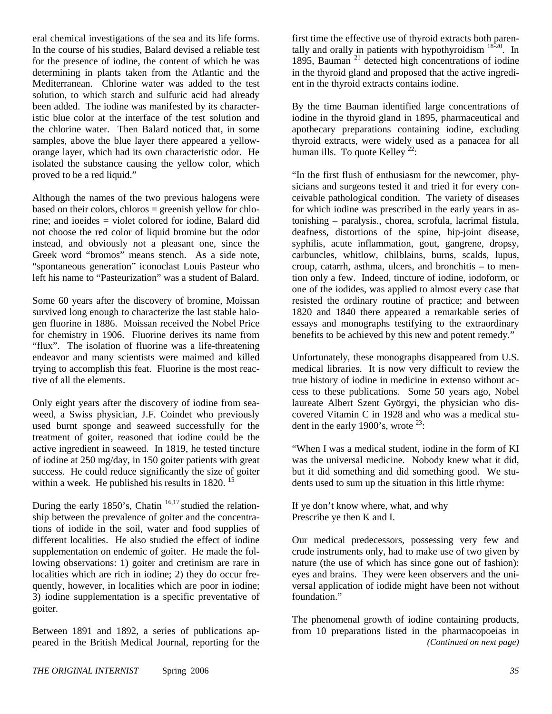eral chemical investigations of the sea and its life forms. In the course of his studies, Balard devised a reliable test for the presence of iodine, the content of which he was determining in plants taken from the Atlantic and the Mediterranean. Chlorine water was added to the test solution, to which starch and sulfuric acid had already been added. The iodine was manifested by its characteristic blue color at the interface of the test solution and the chlorine water. Then Balard noticed that, in some samples, above the blue layer there appeared a yelloworange layer, which had its own characteristic odor. He isolated the substance causing the yellow color, which proved to be a red liquid."

Although the names of the two previous halogens were based on their colors, chloros = greenish yellow for chlorine; and ioeides = violet colored for iodine, Balard did not choose the red color of liquid bromine but the odor instead, and obviously not a pleasant one, since the Greek word "bromos" means stench. As a side note, "spontaneous generation" iconoclast Louis Pasteur who left his name to "Pasteurization" was a student of Balard.

Some 60 years after the discovery of bromine, Moissan survived long enough to characterize the last stable halogen fluorine in 1886. Moissan received the Nobel Price for chemistry in 1906. Fluorine derives its name from "flux". The isolation of fluorine was a life-threatening endeavor and many scientists were maimed and killed trying to accomplish this feat. Fluorine is the most reactive of all the elements.

Only eight years after the discovery of iodine from seaweed, a Swiss physician, J.F. Coindet who previously used burnt sponge and seaweed successfully for the treatment of goiter, reasoned that iodine could be the active ingredient in seaweed. In 1819, he tested tincture of iodine at 250 mg/day, in 150 goiter patients with great success. He could reduce significantly the size of goiter within a week. He published his results in 1820.<sup>15</sup>

During the early 1850's, Chatin<sup>16,17</sup> studied the relationship between the prevalence of goiter and the concentrations of iodide in the soil, water and food supplies of different localities. He also studied the effect of iodine supplementation on endemic of goiter. He made the following observations: 1) goiter and cretinism are rare in localities which are rich in iodine; 2) they do occur frequently, however, in localities which are poor in iodine; 3) iodine supplementation is a specific preventative of goiter.

Between 1891 and 1892, a series of publications appeared in the British Medical Journal, reporting for the

first time the effective use of thyroid extracts both parentally and orally in patients with hypothyroidism  $18\frac{1}{20}$ . In 1895, Bauman  $21$  detected high concentrations of iodine in the thyroid gland and proposed that the active ingredient in the thyroid extracts contains iodine.

By the time Bauman identified large concentrations of iodine in the thyroid gland in 1895, pharmaceutical and apothecary preparations containing iodine, excluding thyroid extracts, were widely used as a panacea for all human ills. To quote Kelley  $22$ :

"In the first flush of enthusiasm for the newcomer, physicians and surgeons tested it and tried it for every conceivable pathological condition. The variety of diseases for which iodine was prescribed in the early years in astonishing – paralysis., chorea, scrofula, lacrimal fistula, deafness, distortions of the spine, hip-joint disease, syphilis, acute inflammation, gout, gangrene, dropsy, carbuncles, whitlow, chilblains, burns, scalds, lupus, croup, catarrh, asthma, ulcers, and bronchitis – to mention only a few. Indeed, tincture of iodine, iodoform, or one of the iodides, was applied to almost every case that resisted the ordinary routine of practice; and between 1820 and 1840 there appeared a remarkable series of essays and monographs testifying to the extraordinary benefits to be achieved by this new and potent remedy."

Unfortunately, these monographs disappeared from U.S. medical libraries. It is now very difficult to review the true history of iodine in medicine in extenso without access to these publications. Some 50 years ago, Nobel laureate Albert Szent Györgyi, the physician who discovered Vitamin C in 1928 and who was a medical student in the early 1900's, wrote  $23$ :

"When I was a medical student, iodine in the form of KI was the universal medicine. Nobody knew what it did, but it did something and did something good. We students used to sum up the situation in this little rhyme:

If ye don't know where, what, and why Prescribe ye then K and I.

Our medical predecessors, possessing very few and crude instruments only, had to make use of two given by nature (the use of which has since gone out of fashion): eyes and brains. They were keen observers and the universal application of iodide might have been not without foundation."

The phenomenal growth of iodine containing products, from 10 preparations listed in the pharmacopoeias in *(Continued on next page)*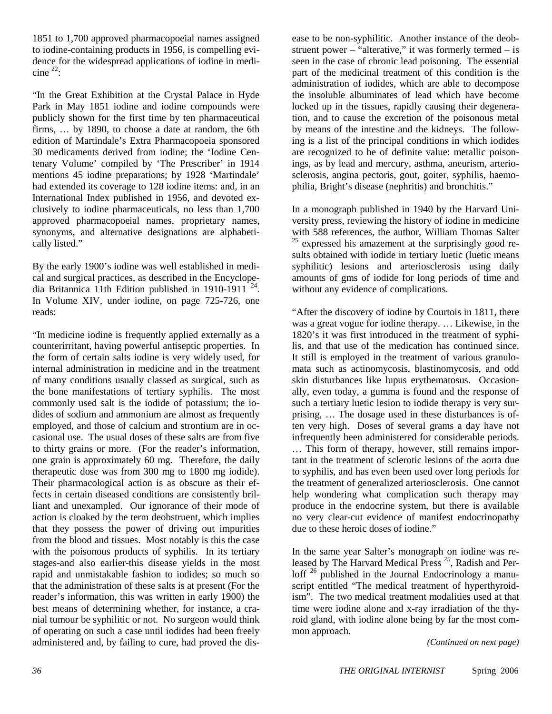1851 to 1,700 approved pharmacopoeial names assigned to iodine-containing products in 1956, is compelling evidence for the widespread applications of iodine in medicine  $^{22}$ :

"In the Great Exhibition at the Crystal Palace in Hyde Park in May 1851 iodine and iodine compounds were publicly shown for the first time by ten pharmaceutical firms, … by 1890, to choose a date at random, the 6th edition of Martindale's Extra Pharmacopoeia sponsored 30 medicaments derived from iodine; the 'Iodine Centenary Volume' compiled by 'The Prescriber' in 1914 mentions 45 iodine preparations; by 1928 'Martindale' had extended its coverage to 128 iodine items: and, in an International Index published in 1956, and devoted exclusively to iodine pharmaceuticals, no less than 1,700 approved pharmacopoeial names, proprietary names, synonyms, and alternative designations are alphabetically listed."

By the early 1900's iodine was well established in medical and surgical practices, as described in the Encyclopedia Britannica 11th Edition published in 1910-1911  $^{24}$ . In Volume XIV, under iodine, on page 725-726, one reads:

"In medicine iodine is frequently applied externally as a counterirritant, having powerful antiseptic properties. In the form of certain salts iodine is very widely used, for internal administration in medicine and in the treatment of many conditions usually classed as surgical, such as the bone manifestations of tertiary syphilis. The most commonly used salt is the iodide of potassium; the iodides of sodium and ammonium are almost as frequently employed, and those of calcium and strontium are in occasional use. The usual doses of these salts are from five to thirty grains or more. (For the reader's information, one grain is approximately 60 mg. Therefore, the daily therapeutic dose was from 300 mg to 1800 mg iodide). Their pharmacological action is as obscure as their effects in certain diseased conditions are consistently brilliant and unexampled. Our ignorance of their mode of action is cloaked by the term deobstruent, which implies that they possess the power of driving out impurities from the blood and tissues. Most notably is this the case with the poisonous products of syphilis. In its tertiary stages-and also earlier-this disease yields in the most rapid and unmistakable fashion to iodides; so much so that the administration of these salts is at present (For the reader's information, this was written in early 1900) the best means of determining whether, for instance, a cranial tumour be syphilitic or not. No surgeon would think of operating on such a case until iodides had been freely administered and, by failing to cure, had proved the disease to be non-syphilitic. Another instance of the deobstruent power – "alterative," it was formerly termed – is seen in the case of chronic lead poisoning. The essential part of the medicinal treatment of this condition is the administration of iodides, which are able to decompose the insoluble albuminates of lead which have become locked up in the tissues, rapidly causing their degeneration, and to cause the excretion of the poisonous metal by means of the intestine and the kidneys. The following is a list of the principal conditions in which iodides are recognized to be of definite value: metallic poisonings, as by lead and mercury, asthma, aneurism, arteriosclerosis, angina pectoris, gout, goiter, syphilis, haemophilia, Bright's disease (nephritis) and bronchitis."

In a monograph published in 1940 by the Harvard University press, reviewing the history of iodine in medicine with 588 references, the author, William Thomas Salter  $25$  expressed his amazement at the surprisingly good results obtained with iodide in tertiary luetic (luetic means syphilitic) lesions and arteriosclerosis using daily amounts of gms of iodide for long periods of time and without any evidence of complications.

"After the discovery of iodine by Courtois in 1811, there was a great vogue for iodine therapy. … Likewise, in the 1820's it was first introduced in the treatment of syphilis, and that use of the medication has continued since. It still is employed in the treatment of various granulomata such as actinomycosis, blastinomycosis, and odd skin disturbances like lupus erythematosus. Occasionally, even today, a gumma is found and the response of such a tertiary luetic lesion to iodide therapy is very surprising, … The dosage used in these disturbances is often very high. Doses of several grams a day have not infrequently been administered for considerable periods. … This form of therapy, however, still remains important in the treatment of sclerotic lesions of the aorta due to syphilis, and has even been used over long periods for the treatment of generalized arteriosclerosis. One cannot help wondering what complication such therapy may produce in the endocrine system, but there is available no very clear-cut evidence of manifest endocrinopathy due to these heroic doses of iodine."

In the same year Salter's monograph on iodine was released by The Harvard Medical Press <sup>25</sup>, Radish and Perloff <sup>26</sup> published in the Journal Endocrinology a manuscript entitled "The medical treatment of hyperthyroidism". The two medical treatment modalities used at that time were iodine alone and x-ray irradiation of the thyroid gland, with iodine alone being by far the most common approach.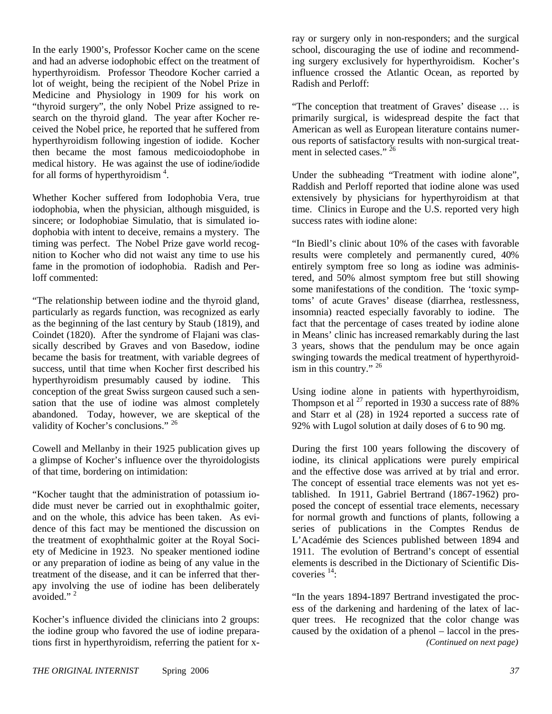In the early 1900's, Professor Kocher came on the scene and had an adverse iodophobic effect on the treatment of hyperthyroidism. Professor Theodore Kocher carried a lot of weight, being the recipient of the Nobel Prize in Medicine and Physiology in 1909 for his work on "thyroid surgery", the only Nobel Prize assigned to research on the thyroid gland. The year after Kocher received the Nobel price, he reported that he suffered from hyperthyroidism following ingestion of iodide. Kocher then became the most famous medicoiodophobe in medical history. He was against the use of iodine/iodide for all forms of hyperthyroidism<sup>4</sup>.

Whether Kocher suffered from Iodophobia Vera, true iodophobia, when the physician, although misguided, is sincere; or Iodophobiae Simulatio, that is simulated iodophobia with intent to deceive, remains a mystery. The timing was perfect. The Nobel Prize gave world recognition to Kocher who did not waist any time to use his fame in the promotion of iodophobia. Radish and Perloff commented:

"The relationship between iodine and the thyroid gland, particularly as regards function, was recognized as early as the beginning of the last century by Staub (1819), and Coindet (1820). After the syndrome of Flajani was classically described by Graves and von Basedow, iodine became the basis for treatment, with variable degrees of success, until that time when Kocher first described his hyperthyroidism presumably caused by iodine. This conception of the great Swiss surgeon caused such a sensation that the use of iodine was almost completely abandoned. Today, however, we are skeptical of the validity of Kocher's conclusions." <sup>26</sup>

Cowell and Mellanby in their 1925 publication gives up a glimpse of Kocher's influence over the thyroidologists of that time, bordering on intimidation:

"Kocher taught that the administration of potassium iodide must never be carried out in exophthalmic goiter, and on the whole, this advice has been taken. As evidence of this fact may be mentioned the discussion on the treatment of exophthalmic goiter at the Royal Society of Medicine in 1923. No speaker mentioned iodine or any preparation of iodine as being of any value in the treatment of the disease, and it can be inferred that therapy involving the use of iodine has been deliberately avoided."<sup>2</sup>

Kocher's influence divided the clinicians into 2 groups: the iodine group who favored the use of iodine preparations first in hyperthyroidism, referring the patient for xray or surgery only in non-responders; and the surgical school, discouraging the use of iodine and recommending surgery exclusively for hyperthyroidism. Kocher's influence crossed the Atlantic Ocean, as reported by Radish and Perloff:

"The conception that treatment of Graves' disease … is primarily surgical, is widespread despite the fact that American as well as European literature contains numerous reports of satisfactory results with non-surgical treatment in selected cases." <sup>26</sup>

Under the subheading "Treatment with iodine alone", Raddish and Perloff reported that iodine alone was used extensively by physicians for hyperthyroidism at that time. Clinics in Europe and the U.S. reported very high success rates with iodine alone:

"In Biedl's clinic about 10% of the cases with favorable results were completely and permanently cured, 40% entirely symptom free so long as iodine was administered, and 50% almost symptom free but still showing some manifestations of the condition. The 'toxic symptoms' of acute Graves' disease (diarrhea, restlessness, insomnia) reacted especially favorably to iodine. The fact that the percentage of cases treated by iodine alone in Means' clinic has increased remarkably during the last 3 years, shows that the pendulum may be once again swinging towards the medical treatment of hyperthyroidism in this country." 26

Using iodine alone in patients with hyperthyroidism, Thompson et al  $^{27}$  reported in 1930 a success rate of 88% and Starr et al (28) in 1924 reported a success rate of 92% with Lugol solution at daily doses of 6 to 90 mg.

During the first 100 years following the discovery of iodine, its clinical applications were purely empirical and the effective dose was arrived at by trial and error. The concept of essential trace elements was not yet established. In 1911, Gabriel Bertrand (1867-1962) proposed the concept of essential trace elements, necessary for normal growth and functions of plants, following a series of publications in the Comptes Rendus de L'Académie des Sciences published between 1894 and 1911. The evolution of Bertrand's concept of essential elements is described in the Dictionary of Scientific Discoveries 14:

*(Continued on next page)*  "In the years 1894-1897 Bertrand investigated the process of the darkening and hardening of the latex of lacquer trees. He recognized that the color change was caused by the oxidation of a phenol – laccol in the pres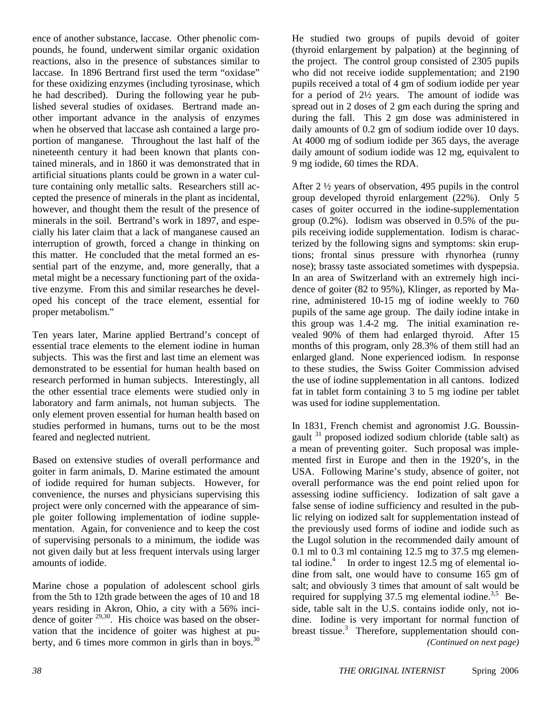ence of another substance, laccase. Other phenolic compounds, he found, underwent similar organic oxidation reactions, also in the presence of substances similar to laccase. In 1896 Bertrand first used the term "oxidase" for these oxidizing enzymes (including tyrosinase, which he had described). During the following year he published several studies of oxidases. Bertrand made another important advance in the analysis of enzymes when he observed that laccase ash contained a large proportion of manganese. Throughout the last half of the nineteenth century it had been known that plants contained minerals, and in 1860 it was demonstrated that in artificial situations plants could be grown in a water culture containing only metallic salts. Researchers still accepted the presence of minerals in the plant as incidental, however, and thought them the result of the presence of minerals in the soil. Bertrand's work in 1897, and especially his later claim that a lack of manganese caused an interruption of growth, forced a change in thinking on this matter. He concluded that the metal formed an essential part of the enzyme, and, more generally, that a metal might be a necessary functioning part of the oxidative enzyme. From this and similar researches he developed his concept of the trace element, essential for proper metabolism."

Ten years later, Marine applied Bertrand's concept of essential trace elements to the element iodine in human subjects. This was the first and last time an element was demonstrated to be essential for human health based on research performed in human subjects. Interestingly, all the other essential trace elements were studied only in laboratory and farm animals, not human subjects. The only element proven essential for human health based on studies performed in humans, turns out to be the most feared and neglected nutrient.

Based on extensive studies of overall performance and goiter in farm animals, D. Marine estimated the amount of iodide required for human subjects. However, for convenience, the nurses and physicians supervising this project were only concerned with the appearance of simple goiter following implementation of iodine supplementation. Again, for convenience and to keep the cost of supervising personals to a minimum, the iodide was not given daily but at less frequent intervals using larger amounts of iodide.

Marine chose a population of adolescent school girls from the 5th to 12th grade between the ages of 10 and 18 years residing in Akron, Ohio, a city with a 56% incidence of goiter  $29,30$ . His choice was based on the observation that the incidence of goiter was highest at puberty, and 6 times more common in girls than in boys. $^{30}$  He studied two groups of pupils devoid of goiter (thyroid enlargement by palpation) at the beginning of the project. The control group consisted of 2305 pupils who did not receive iodide supplementation; and 2190 pupils received a total of 4 gm of sodium iodide per year for a period of 2½ years. The amount of iodide was spread out in 2 doses of 2 gm each during the spring and during the fall. This 2 gm dose was administered in daily amounts of 0.2 gm of sodium iodide over 10 days. At 4000 mg of sodium iodide per 365 days, the average daily amount of sodium iodide was 12 mg, equivalent to 9 mg iodide, 60 times the RDA.

After 2 ½ years of observation, 495 pupils in the control group developed thyroid enlargement (22%). Only 5 cases of goiter occurred in the iodine-supplementation group (0.2%). Iodism was observed in 0.5% of the pupils receiving iodide supplementation. Iodism is characterized by the following signs and symptoms: skin eruptions; frontal sinus pressure with rhynorhea (runny nose); brassy taste associated sometimes with dyspepsia. In an area of Switzerland with an extremely high incidence of goiter (82 to 95%), Klinger, as reported by Marine, administered 10-15 mg of iodine weekly to 760 pupils of the same age group. The daily iodine intake in this group was 1.4-2 mg. The initial examination revealed 90% of them had enlarged thyroid. After 15 months of this program, only 28.3% of them still had an enlarged gland. None experienced iodism. In response to these studies, the Swiss Goiter Commission advised the use of iodine supplementation in all cantons. Iodized fat in tablet form containing 3 to 5 mg iodine per tablet was used for iodine supplementation.

*(Continued on next page)*  In 1831, French chemist and agronomist J.G. Boussingault  $31$  proposed iodized sodium chloride (table salt) as a mean of preventing goiter. Such proposal was implemented first in Europe and then in the 1920's, in the USA. Following Marine's study, absence of goiter, not overall performance was the end point relied upon for assessing iodine sufficiency. Iodization of salt gave a false sense of iodine sufficiency and resulted in the public relying on iodized salt for supplementation instead of the previously used forms of iodine and iodide such as the Lugol solution in the recommended daily amount of 0.1 ml to 0.3 ml containing 12.5 mg to 37.5 mg elemental iodine. $4$  In order to ingest 12.5 mg of elemental iodine from salt, one would have to consume 165 gm of salt; and obviously 3 times that amount of salt would be required for supplying  $37.5$  mg elemental iodine.<sup>3,5</sup> Beside, table salt in the U.S. contains iodide only, not iodine. Iodine is very important for normal function of breast tissue.<sup>3</sup> Therefore, supplementation should con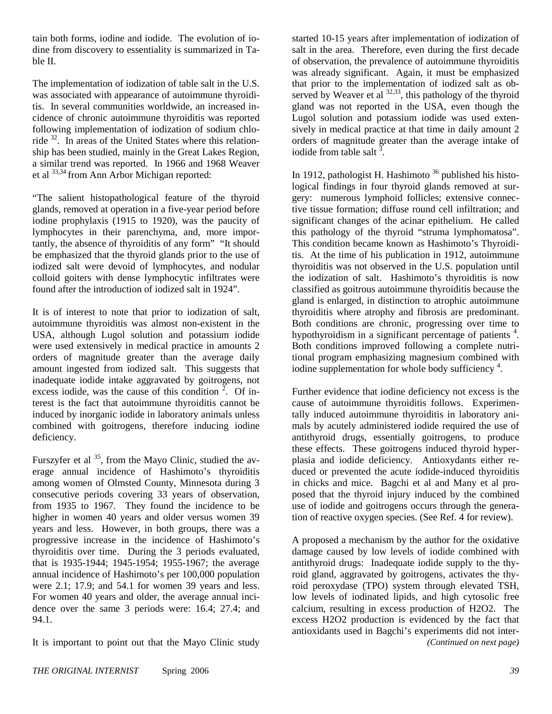tain both forms, iodine and iodide. The evolution of iodine from discovery to essentiality is summarized in Table II.

The implementation of iodization of table salt in the U.S. was associated with appearance of autoimmune thyroiditis. In several communities worldwide, an increased incidence of chronic autoimmune thyroiditis was reported following implementation of iodization of sodium chloride 32. In areas of the United States where this relationship has been studied, mainly in the Great Lakes Region, a similar trend was reported. In 1966 and 1968 Weaver et al 33,34 from Ann Arbor Michigan reported:

"The salient histopathological feature of the thyroid glands, removed at operation in a five-year period before iodine prophylaxis (1915 to 1920), was the paucity of lymphocytes in their parenchyma, and, more importantly, the absence of thyroiditis of any form" "It should be emphasized that the thyroid glands prior to the use of iodized salt were devoid of lymphocytes, and nodular colloid goiters with dense lymphocytic infiltrates were found after the introduction of iodized salt in 1924".

It is of interest to note that prior to iodization of salt, autoimmune thyroiditis was almost non-existent in the USA, although Lugol solution and potassium iodide were used extensively in medical practice in amounts 2 orders of magnitude greater than the average daily amount ingested from iodized salt. This suggests that inadequate iodide intake aggravated by goitrogens, not excess iodide, was the cause of this condition  $2^{\degree}$ . Of interest is the fact that autoimmune thyroiditis cannot be induced by inorganic iodide in laboratory animals unless combined with goitrogens, therefore inducing iodine deficiency.

Furszyfer et al  $35$ , from the Mayo Clinic, studied the average annual incidence of Hashimoto's thyroiditis among women of Olmsted County, Minnesota during 3 consecutive periods covering 33 years of observation, from 1935 to 1967. They found the incidence to be higher in women 40 years and older versus women 39 years and less. However, in both groups, there was a progressive increase in the incidence of Hashimoto's thyroiditis over time. During the 3 periods evaluated, that is 1935-1944; 1945-1954; 1955-1967; the average annual incidence of Hashimoto's per 100,000 population were 2.1; 17.9; and 54.1 for women 39 years and less. For women 40 years and older, the average annual incidence over the same 3 periods were: 16.4; 27.4; and 94.1.

It is important to point out that the Mayo Clinic study

started 10-15 years after implementation of iodization of salt in the area. Therefore, even during the first decade of observation, the prevalence of autoimmune thyroiditis was already significant. Again, it must be emphasized that prior to the implementation of iodized salt as observed by Weaver et al  $^{32,33}$ , this pathology of the thyroid gland was not reported in the USA, even though the Lugol solution and potassium iodide was used extensively in medical practice at that time in daily amount 2 orders of magnitude greater than the average intake of iodide from table salt  $\frac{3}{2}$ .

In 1912, pathologist H. Hashimoto  $36$  published his histological findings in four thyroid glands removed at surgery: numerous lymphoid follicles; extensive connective tissue formation; diffuse round cell infiltration; and significant changes of the acinar epithelium. He called this pathology of the thyroid "struma lymphomatosa". This condition became known as Hashimoto's Thyroiditis. At the time of his publication in 1912, autoimmune thyroiditis was not observed in the U.S. population until the iodization of salt. Hashimoto's thyroiditis is now classified as goitrous autoimmune thyroiditis because the gland is enlarged, in distinction to atrophic autoimmune thyroiditis where atrophy and fibrosis are predominant. Both conditions are chronic, progressing over time to hypothyroidism in a significant percentage of patients<sup>4</sup>. Both conditions improved following a complete nutritional program emphasizing magnesium combined with iodine supplementation for whole body sufficiency<sup>4</sup>.

Further evidence that iodine deficiency not excess is the cause of autoimmune thyroiditis follows. Experimentally induced autoimmune thyroiditis in laboratory animals by acutely administered iodide required the use of antithyroid drugs, essentially goitrogens, to produce these effects. These goitrogens induced thyroid hyperplasia and iodide deficiency. Antioxydants either reduced or prevented the acute iodide-induced thyroiditis in chicks and mice. Bagchi et al and Many et al proposed that the thyroid injury induced by the combined use of iodide and goitrogens occurs through the generation of reactive oxygen species. (See Ref. 4 for review).

A proposed a mechanism by the author for the oxidative damage caused by low levels of iodide combined with antithyroid drugs: Inadequate iodide supply to the thyroid gland, aggravated by goitrogens, activates the thyroid peroxydase (TPO) system through elevated TSH, low levels of iodinated lipids, and high cytosolic free calcium, resulting in excess production of H2O2. The excess H2O2 production is evidenced by the fact that antioxidants used in Bagchi's experiments did not inter-*(Continued on next page)*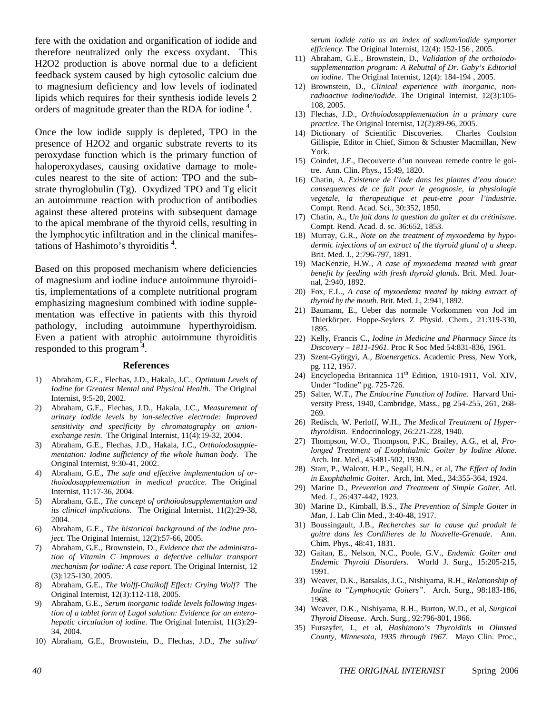fere with the oxidation and organification of iodide and therefore neutralized only the excess oxydant. This H2O2 production is above normal due to a deficient feedback system caused by high cytosolic calcium due to magnesium deficiency and low levels of iodinated lipids which requires for their synthesis iodide levels 2 orders of magnitude greater than the RDA for iodine<sup>4</sup>.

Once the low iodide supply is depleted, TPO in the presence of H2O2 and organic substrate reverts to its peroxydase function which is the primary function of haloperoxydases, causing oxidative damage to molecules nearest to the site of action: TPO and the substrate thyroglobulin (Tg). Oxydized TPO and Tg elicit an autoimmune reaction with production of antibodies against these altered proteins with subsequent damage to the apical membrane of the thyroid cells, resulting in the lymphocytic infiltration and in the clinical manifestations of Hashimoto's thyroiditis <sup>4</sup> .

Based on this proposed mechanism where deficiencies of magnesium and iodine induce autoimmune thyroiditis, implementations of a complete nutritional program emphasizing magnesium combined with iodine supplementation was effective in patients with this thyroid pathology, including autoimmune hyperthyroidism. Even a patient with atrophic autoimmune thyroiditis responded to this program  $4$ .

#### **References**

- 1) Abraham, G.E., Flechas, J.D., Hakala, J.C., *Optimum Levels of Iodine for Greatest Mental and Physical Health*. The Original Internist, 9:5-20, 2002.
- 2) Abraham, G.E., Flechas, J.D., Hakala, J.C., *Measurement of urinary iodide levels by ion-selective electrode: Improved sensitivity and specificity by chromatography on anionexchange resin*. The Original Internist, 11(4):19-32, 2004.
- 3) Abraham, G.E., Flechas, J.D., Hakala, J.C., *Orthoiodosupplementation: Iodine sufficiency of the whole human body*. The Original Internist, 9:30-41, 2002.
- 4) Abraham, G.E., *The safe and effective implementation of orthoiodosupplementation in medical practice*. The Original Internist, 11:17-36, 2004.
- 5) Abraham, G.E., *The concept of orthoiodosupplementation and its clinical implications*. The Original Internist, 11(2):29-38, 2004.
- 6) Abraham, G.E., *The historical background of the iodine project*. The Original Internist, 12(2):57-66, 2005.
- 7) Abraham, G.E., Brownstein, D., *Evidence that the administration of Vitamin C improves a defective cellular transport mechanism for iodine: A case report*. The Original Internist, 12 (3):125-130, 2005.
- 8) Abraham, G.E., *The Wolff-Chaikoff Effect: Crying Wolf?* The Original Internist, 12(3):112-118, 2005.
- 9) Abraham, G.E., *Serum inorganic iodide levels following ingestion of a tablet form of Lugol solution: Evidence for an enterohepatic circulation of iodine*. The Original Internist, 11(3):29- 34, 2004.
- 10) Abraham, G.E., Brownstein, D., Flechas, J.D., *The saliva/*

*serum iodide ratio as an index of sodium/iodide symporter efficiency*. The Original Internist, 12(4): 152-156 , 2005.

- 11) Abraham, G.E., Brownstein, D., *Validation of the orthoiodosupplementation program: A Rebuttal of Dr. Gaby's Editorial on iodine*. The Original Internist, 12(4): 184-194 , 2005.
- 12) Brownstein, D., *Clinical experience with inorganic, nonradioactive iodine/iodide*. The Original Internist, 12(3):105- 108, 2005.
- 13) Flechas, J.D., *Orthoiodosupplementation in a primary care practice*. The Original Internist, 12(2):89-96, 2005.
- 14) Dictionary of Scientific Discoveries. Charles Coulston Gillispie, Editor in Chief, Simon & Schuster Macmillan, New York.
- 15) Coindet, J.F., Decouverte d'un nouveau remede contre le goitre. Ann. Clin. Phys., 15:49, 1820.
- 16) Chatin, A. *Existence de l'iode dans les plantes d'eau douce: consequences de ce fait pour le geognosie, la physiologie vegetale, la therapeutique et peut-etre pour l'industrie*. Compt. Rend. Acad. Sci., 30:352, 1850.
- 17) Chatin, A., *Un fait dans la question du goîter et du crétinisme*. Compt. Rend. Acad. d. sc. 36:652, 1853.
- 18) Murray, G.R., *Note on the treatment of myxoedema by hypodermic injections of an extract of the thyroid gland of a sheep*. Brit. Med. J., 2:796-797, 1891.
- 19) MacKenzie, H.W*., A case of myxoedema treated with great benefit by feeding with fresh thyroid glands*. Brit. Med. Journal, 2:940, 1892.
- 20) Fox, E.L., *A case of myxoedema treated by taking extract of thyroid by the mouth*. Brit. Med. J., 2:941, 1892.
- 21) Baumann, E., Ueber das normale Vorkommen von Jod im Thierkörper. Hoppe-Seylers Z Physid. Chem., 21:319-330, 1895.
- 22) Kelly, Francis C., *Iodine in Medicine and Pharmacy Since its Discovery – 1811-1961*. Proc R Soc Med 54:831-836, 1961.
- 23) Szent-Györgyi, A., *Bioenergetics*. Academic Press, New York, pg. 112, 1957.
- 24) Encyclopedia Britannica 11<sup>th</sup> Edition, 1910-1911, Vol. XIV, Under "Iodine" pg. 725-726.
- 25) Salter, W.T., *The Endocrine Function of Iodine*. Harvard University Press, 1940, Cambridge, Mass., pg 254-255, 261, 268- 269.
- 26) Redisch, W. Perloff, W.H., *The Medical Treatment of Hyperthyroidism*. Endocrinology, 26:221-228, 1940.
- 27) Thompson, W.O., Thompson, P.K., Brailey, A.G., et al, *Prolonged Treatment of Exophthalmic Goiter by Iodine Alone*. Arch. Int. Med., 45:481-502, 1930.
- 28) Starr, P., Walcott, H.P., Segall, H.N., et al, *The Effect of Iodin in Exophthalmic Goiter*. Arch, Int. Med., 34:355-364, 1924.
- 29) Marine D., *Prevention and Treatment of Simple Goiter*, Atl. Med. J., 26:437-442, 1923.
- 30) Marine D., Kimball, B.S., *The Prevention of Simple Goiter in Man*, J. Lab Clin Med., 3:40-48, 1917.
- 31) Boussingault, J.B., *Recherches sur la cause qui produit le goitre dans les Cordilieres de la Nouvelle-Grenade*. Ann. Chim. Phys., 48:41, 1831.
- 32) Gaitan, E., Nelson, N.C., Poole, G.V., *Endemic Goiter and Endemic Thyroid Disorders*. World J. Surg., 15:205-215, 1991.
- 33) Weaver, D.K., Batsakis, J.G., Nishiyama, R.H., *Relationship of Iodine to "Lymphocytic Goiters"*. Arch. Surg., 98:183-186, 1968.
- 34) Weaver, D.K., Nishiyama, R.H., Burton, W.D., et al, *Surgical Thyroid Disease*. Arch. Surg., 92:796-801, 1966.
- 35) Furszyfer, J., et al, *Hashimoto's Thyroiditis in Olmsted County, Minnesota, 1935 through 1967*. Mayo Clin. Proc.,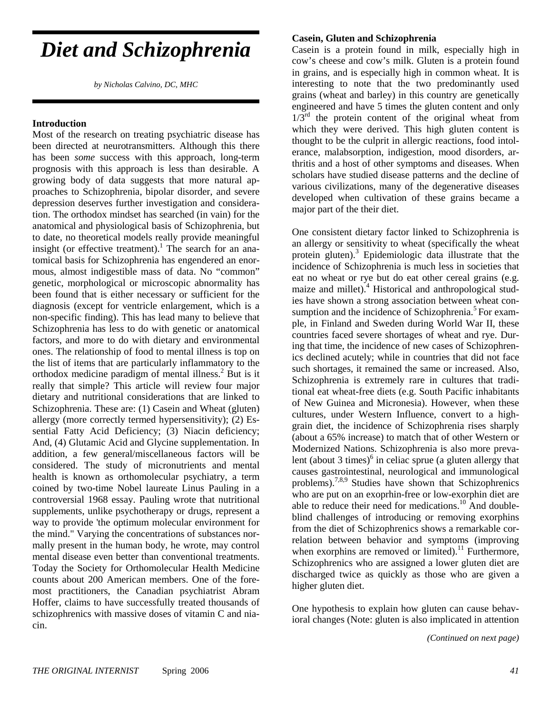## *Diet and Schizophrenia*

*by Nicholas Calvino, DC, MHC* 

#### **Introduction**

Most of the research on treating psychiatric disease has been directed at neurotransmitters. Although this there has been *some* success with this approach, long-term prognosis with this approach is less than desirable. A growing body of data suggests that more natural approaches to Schizophrenia, bipolar disorder, and severe depression deserves further investigation and consideration. The orthodox mindset has searched (in vain) for the anatomical and physiological basis of Schizophrenia, but to date, no theoretical models really provide meaningful insight (or effective treatment).<sup>1</sup> The search for an anatomical basis for Schizophrenia has engendered an enormous, almost indigestible mass of data. No "common" genetic, morphological or microscopic abnormality has been found that is either necessary or sufficient for the diagnosis (except for ventricle enlargement, which is a non-specific finding). This has lead many to believe that Schizophrenia has less to do with genetic or anatomical factors, and more to do with dietary and environmental ones. The relationship of food to mental illness is top on the list of items that are particularly inflammatory to the orthodox medicine paradigm of mental illness.<sup>2</sup> But is it really that simple? This article will review four major dietary and nutritional considerations that are linked to Schizophrenia. These are: (1) Casein and Wheat (gluten) allergy (more correctly termed hypersensitivity); (2) Essential Fatty Acid Deficiency; (3) Niacin deficiency; And, (4) Glutamic Acid and Glycine supplementation. In addition, a few general/miscellaneous factors will be considered. The study of micronutrients and mental health is known as orthomolecular psychiatry, a term coined by two-time Nobel laureate Linus Pauling in a controversial 1968 essay. Pauling wrote that nutritional supplements, unlike psychotherapy or drugs, represent a way to provide 'the optimum molecular environment for the mind." Varying the concentrations of substances normally present in the human body, he wrote, may control mental disease even better than conventional treatments. Today the Society for Orthomolecular Health Medicine counts about 200 American members. One of the foremost practitioners, the Canadian psychiatrist Abram Hoffer, claims to have successfully treated thousands of schizophrenics with massive doses of vitamin C and niacin.

#### **Casein, Gluten and Schizophrenia**

Casein is a protein found in milk, especially high in cow's cheese and cow's milk. Gluten is a protein found in grains, and is especially high in common wheat. It is interesting to note that the two predominantly used grains (wheat and barley) in this country are genetically engineered and have 5 times the gluten content and only  $1/3<sup>rd</sup>$  the protein content of the original wheat from which they were derived. This high gluten content is thought to be the culprit in allergic reactions, food intolerance, malabsorption, indigestion, mood disorders, arthritis and a host of other symptoms and diseases. When scholars have studied disease patterns and the decline of various civilizations, many of the degenerative diseases developed when cultivation of these grains became a major part of the their diet.

One consistent dietary factor linked to Schizophrenia is an allergy or sensitivity to wheat (specifically the wheat protein gluten).<sup>3</sup> Epidemiologic data illustrate that the incidence of Schizophrenia is much less in societies that eat no wheat or rye but do eat other cereal grains (e.g. maize and millet).<sup>4</sup> Historical and anthropological studies have shown a strong association between wheat consumption and the incidence of Schizophrenia.<sup>5</sup> For example, in Finland and Sweden during World War II, these countries faced severe shortages of wheat and rye. During that time, the incidence of new cases of Schizophrenics declined acutely; while in countries that did not face such shortages, it remained the same or increased. Also, Schizophrenia is extremely rare in cultures that traditional eat wheat-free diets (e.g. South Pacific inhabitants of New Guinea and Micronesia). However, when these cultures, under Western Influence, convert to a highgrain diet, the incidence of Schizophrenia rises sharply (about a 65% increase) to match that of other Western or Modernized Nations. Schizophrenia is also more prevalent (about 3 times) $6$  in celiac sprue (a gluten allergy that causes gastrointestinal, neurological and immunological problems).7,8,9 Studies have shown that Schizophrenics who are put on an exoprhin-free or low-exorphin diet are able to reduce their need for medications.<sup>10</sup> And doubleblind challenges of introducing or removing exorphins from the diet of Schizophrenics shows a remarkable correlation between behavior and symptoms (improving when exorphins are removed or limited).<sup>11</sup> Furthermore, Schizophrenics who are assigned a lower gluten diet are discharged twice as quickly as those who are given a higher gluten diet.

One hypothesis to explain how gluten can cause behavioral changes (Note: gluten is also implicated in attention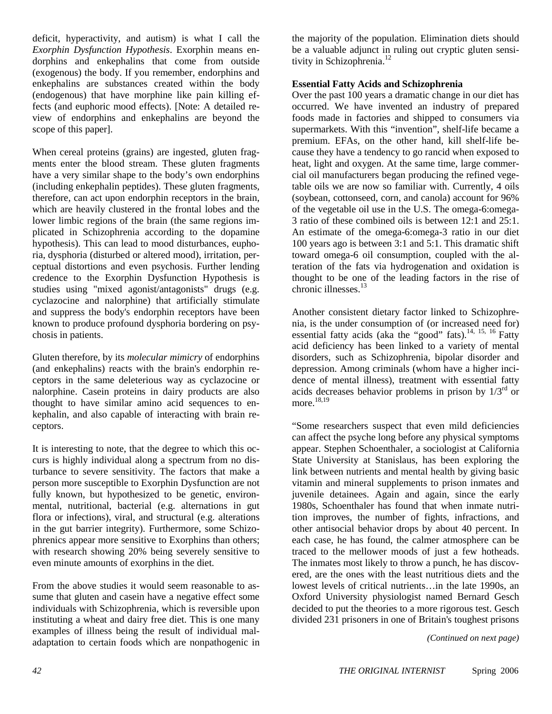deficit, hyperactivity, and autism) is what I call the *Exorphin Dysfunction Hypothesis*. Exorphin means endorphins and enkephalins that come from outside (exogenous) the body. If you remember, endorphins and enkephalins are substances created within the body (endogenous) that have morphine like pain killing effects (and euphoric mood effects). [Note: A detailed review of endorphins and enkephalins are beyond the scope of this paper].

When cereal proteins (grains) are ingested, gluten fragments enter the blood stream. These gluten fragments have a very similar shape to the body's own endorphins (including enkephalin peptides). These gluten fragments, therefore, can act upon endorphin receptors in the brain, which are heavily clustered in the frontal lobes and the lower limbic regions of the brain (the same regions implicated in Schizophrenia according to the dopamine hypothesis). This can lead to mood disturbances, euphoria, dysphoria (disturbed or altered mood), irritation, perceptual distortions and even psychosis. Further lending credence to the Exorphin Dysfunction Hypothesis is studies using "mixed agonist/antagonists" drugs (e.g. cyclazocine and nalorphine) that artificially stimulate and suppress the body's endorphin receptors have been known to produce profound dysphoria bordering on psychosis in patients.

Gluten therefore, by its *molecular mimicry* of endorphins (and enkephalins) reacts with the brain's endorphin receptors in the same deleterious way as cyclazocine or nalorphine. Casein proteins in dairy products are also thought to have similar amino acid sequences to enkephalin, and also capable of interacting with brain receptors.

It is interesting to note, that the degree to which this occurs is highly individual along a spectrum from no disturbance to severe sensitivity. The factors that make a person more susceptible to Exorphin Dysfunction are not fully known, but hypothesized to be genetic, environmental, nutritional, bacterial (e.g. alternations in gut flora or infections), viral, and structural (e.g. alterations in the gut barrier integrity). Furthermore, some Schizophrenics appear more sensitive to Exorphins than others; with research showing 20% being severely sensitive to even minute amounts of exorphins in the diet.

From the above studies it would seem reasonable to assume that gluten and casein have a negative effect some individuals with Schizophrenia, which is reversible upon instituting a wheat and dairy free diet. This is one many examples of illness being the result of individual maladaptation to certain foods which are nonpathogenic in

the majority of the population. Elimination diets should be a valuable adjunct in ruling out cryptic gluten sensitivity in Schizophrenia.<sup>12</sup>

#### **Essential Fatty Acids and Schizophrenia**

Over the past 100 years a dramatic change in our diet has occurred. We have invented an industry of prepared foods made in factories and shipped to consumers via supermarkets. With this "invention", shelf-life became a premium. EFAs, on the other hand, kill shelf-life because they have a tendency to go rancid when exposed to heat, light and oxygen. At the same time, large commercial oil manufacturers began producing the refined vegetable oils we are now so familiar with. Currently, 4 oils (soybean, cottonseed, corn, and canola) account for 96% of the vegetable oil use in the U.S. The omega-6:omega-3 ratio of these combined oils is between 12:1 and 25:1. An estimate of the omega-6:omega-3 ratio in our diet 100 years ago is between 3:1 and 5:1. This dramatic shift toward omega-6 oil consumption, coupled with the alteration of the fats via hydrogenation and oxidation is thought to be one of the leading factors in the rise of chronic illnesses.<sup>13</sup>

Another consistent dietary factor linked to Schizophrenia, is the under consumption of (or increased need for) essential fatty acids (aka the "good" fats).<sup>14, 15, 16</sup> Fatty acid deficiency has been linked to a variety of mental disorders, such as Schizophrenia, bipolar disorder and depression. Among criminals (whom have a higher incidence of mental illness), treatment with essential fatty acids decreases behavior problems in prison by  $1/3<sup>rd</sup>$  or more.<sup>18,19</sup>

"Some researchers suspect that even mild deficiencies can affect the psyche long before any physical symptoms appear. Stephen Schoenthaler, a sociologist at California State University at Stanislaus, has been exploring the link between nutrients and mental health by giving basic vitamin and mineral supplements to prison inmates and juvenile detainees. Again and again, since the early 1980s, Schoenthaler has found that when inmate nutrition improves, the number of fights, infractions, and other antisocial behavior drops by about 40 percent. In each case, he has found, the calmer atmosphere can be traced to the mellower moods of just a few hotheads. The inmates most likely to throw a punch, he has discovered, are the ones with the least nutritious diets and the lowest levels of critical nutrients…in the late 1990s, an Oxford University physiologist named Bernard Gesch decided to put the theories to a more rigorous test. Gesch divided 231 prisoners in one of Britain's toughest prisons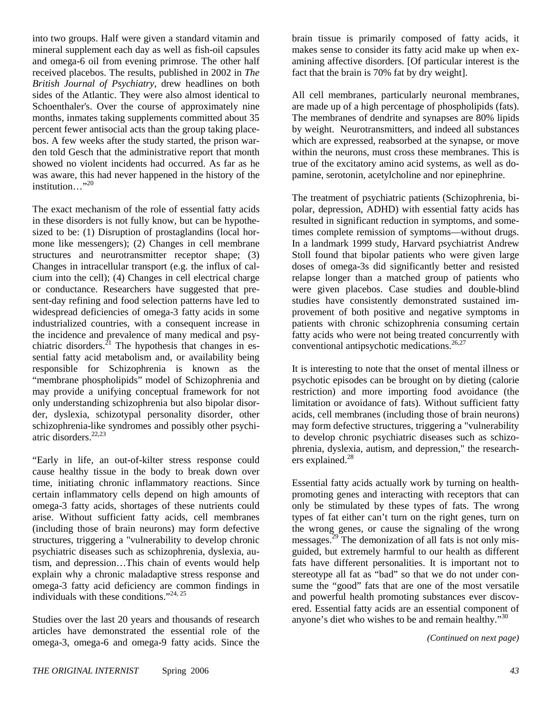into two groups. Half were given a standard vitamin and mineral supplement each day as well as fish-oil capsules and omega-6 oil from evening primrose. The other half received placebos. The results, published in 2002 in *The British Journal of Psychiatry*, drew headlines on both sides of the Atlantic. They were also almost identical to Schoenthaler's. Over the course of approximately nine months, inmates taking supplements committed about 35 percent fewer antisocial acts than the group taking placebos. A few weeks after the study started, the prison warden told Gesch that the administrative report that month showed no violent incidents had occurred. As far as he was aware, this had never happened in the history of the institution..."<sup>20</sup>

The exact mechanism of the role of essential fatty acids in these disorders is not fully know, but can be hypothesized to be: (1) Disruption of prostaglandins (local hormone like messengers); (2) Changes in cell membrane structures and neurotransmitter receptor shape: (3) Changes in intracellular transport (e.g. the influx of calcium into the cell); (4) Changes in cell electrical charge or conductance. Researchers have suggested that present-day refining and food selection patterns have led to widespread deficiencies of omega-3 fatty acids in some industrialized countries, with a consequent increase in the incidence and prevalence of many medical and psychiatric disorders. $^{21}$  The hypothesis that changes in essential fatty acid metabolism and, or availability being responsible for Schizophrenia is known as the "membrane phospholipids" model of Schizophrenia and may provide a unifying conceptual framework for not only understanding schizophrenia but also bipolar disorder, dyslexia, schizotypal personality disorder, other schizophrenia-like syndromes and possibly other psychiatric disorders.22,23

"Early in life, an out-of-kilter stress response could cause healthy tissue in the body to break down over time, initiating chronic inflammatory reactions. Since certain inflammatory cells depend on high amounts of omega-3 fatty acids, shortages of these nutrients could arise. Without sufficient fatty acids, cell membranes (including those of brain neurons) may form defective structures, triggering a "vulnerability to develop chronic psychiatric diseases such as schizophrenia, dyslexia, autism, and depression…This chain of events would help explain why a chronic maladaptive stress response and omega-3 fatty acid deficiency are common findings in individuals with these conditions."<sup>24, 25</sup>

Studies over the last 20 years and thousands of research articles have demonstrated the essential role of the omega-3, omega-6 and omega-9 fatty acids. Since the brain tissue is primarily composed of fatty acids, it makes sense to consider its fatty acid make up when examining affective disorders. [Of particular interest is the fact that the brain is 70% fat by dry weight].

All cell membranes, particularly neuronal membranes, are made up of a high percentage of phospholipids (fats). The membranes of dendrite and synapses are 80% lipids by weight. Neurotransmitters, and indeed all substances which are expressed, reabsorbed at the synapse, or move within the neurons, must cross these membranes. This is true of the excitatory amino acid systems, as well as dopamine, serotonin, acetylcholine and nor epinephrine.

The treatment of psychiatric patients (Schizophrenia, bipolar, depression, ADHD) with essential fatty acids has resulted in significant reduction in symptoms, and sometimes complete remission of symptoms—without drugs. In a landmark 1999 study, Harvard psychiatrist Andrew Stoll found that bipolar patients who were given large doses of omega-3s did significantly better and resisted relapse longer than a matched group of patients who were given placebos. Case studies and double-blind studies have consistently demonstrated sustained improvement of both positive and negative symptoms in patients with chronic schizophrenia consuming certain fatty acids who were not being treated concurrently with conventional antipsychotic medications.<sup>26,27</sup>

It is interesting to note that the onset of mental illness or psychotic episodes can be brought on by dieting (calorie restriction) and more importing food avoidance (the limitation or avoidance of fats). Without sufficient fatty acids, cell membranes (including those of brain neurons) may form defective structures, triggering a "vulnerability to develop chronic psychiatric diseases such as schizophrenia, dyslexia, autism, and depression," the researchers explained. $^{28}$ 

Essential fatty acids actually work by turning on healthpromoting genes and interacting with receptors that can only be stimulated by these types of fats. The wrong types of fat either can't turn on the right genes, turn on the wrong genes, or cause the signaling of the wrong messages.<sup>29</sup> The demonization of all fats is not only misguided, but extremely harmful to our health as different fats have different personalities. It is important not to stereotype all fat as "bad" so that we do not under consume the "good" fats that are one of the most versatile and powerful health promoting substances ever discovered. Essential fatty acids are an essential component of anyone's diet who wishes to be and remain healthy."<sup>30</sup>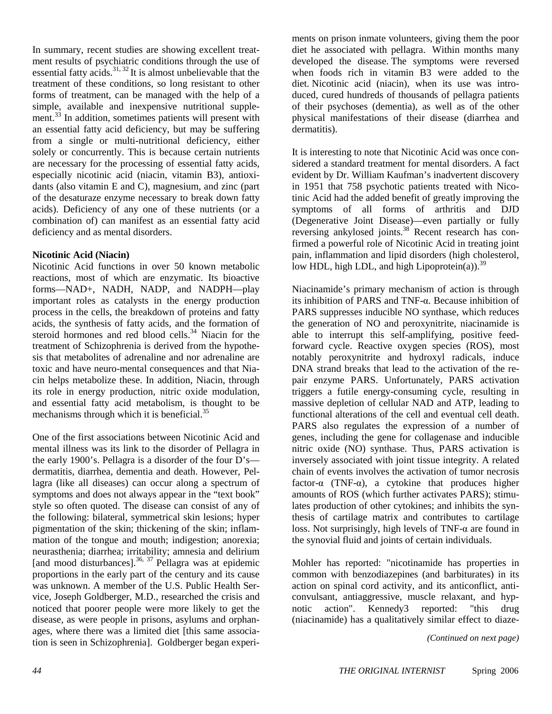In summary, recent studies are showing excellent treatment results of psychiatric conditions through the use of essential fatty acids. $31, 32$  It is almost unbelievable that the treatment of these conditions, so long resistant to other forms of treatment, can be managed with the help of a simple, available and inexpensive nutritional supplement.<sup>33</sup> In addition, sometimes patients will present with an essential fatty acid deficiency, but may be suffering from a single or multi-nutritional deficiency, either solely or concurrently. This is because certain nutrients are necessary for the processing of essential fatty acids, especially nicotinic acid (niacin, vitamin B3), antioxidants (also vitamin E and C), magnesium, and zinc (part of the desaturaze enzyme necessary to break down fatty acids). Deficiency of any one of these nutrients (or a combination of) can manifest as an essential fatty acid deficiency and as mental disorders.

#### **Nicotinic Acid (Niacin)**

Nicotinic Acid functions in over 50 known metabolic reactions, most of which are enzymatic. Its bioactive forms—NAD+, NADH, NADP, and NADPH—play important roles as catalysts in the energy production process in the cells, the breakdown of proteins and fatty acids, the synthesis of fatty acids, and the formation of steroid hormones and red blood cells. $34$  Niacin for the treatment of Schizophrenia is derived from the hypothesis that metabolites of adrenaline and nor adrenaline are toxic and have neuro-mental consequences and that Niacin helps metabolize these. In addition, Niacin, through its role in energy production, nitric oxide modulation, and essential fatty acid metabolism, is thought to be mechanisms through which it is beneficial.<sup>35</sup>

One of the first associations between Nicotinic Acid and mental illness was its link to the disorder of Pellagra in the early 1900's. Pellagra is a disorder of the four D's dermatitis, diarrhea, dementia and death. However, Pellagra (like all diseases) can occur along a spectrum of symptoms and does not always appear in the "text book" style so often quoted. The disease can consist of any of the following: bilateral, symmetrical skin lesions; hyper pigmentation of the skin; thickening of the skin; inflammation of the tongue and mouth; indigestion; anorexia; neurasthenia; diarrhea; irritability; amnesia and delirium [and mood disturbances].<sup>36, 37</sup> Pellagra was at epidemic proportions in the early part of the century and its cause was unknown. A member of the U.S. Public Health Service, Joseph Goldberger, M.D., researched the crisis and noticed that poorer people were more likely to get the disease, as were people in prisons, asylums and orphanages, where there was a limited diet [this same association is seen in Schizophrenia]. Goldberger began experiments on prison inmate volunteers, giving them the poor diet he associated with pellagra. Within months many developed the disease. The symptoms were reversed when foods rich in vitamin B3 were added to the diet. Nicotinic acid (niacin), when its use was introduced, cured hundreds of thousands of pellagra patients of their psychoses (dementia), as well as of the other physical manifestations of their disease (diarrhea and dermatitis).

It is interesting to note that Nicotinic Acid was once considered a standard treatment for mental disorders. A fact evident by Dr. William Kaufman's inadvertent discovery in 1951 that 758 psychotic patients treated with Nicotinic Acid had the added benefit of greatly improving the symptoms of all forms of arthritis and DJD (Degenerative Joint Disease)—even partially or fully reversing ankylosed joints.<sup>38</sup> Recent research has confirmed a powerful role of Nicotinic Acid in treating joint pain, inflammation and lipid disorders (high cholesterol, low HDL, high LDL, and high Lipoprotein(a)).<sup>39</sup>

Niacinamide's primary mechanism of action is through its inhibition of PARS and TNF-α. Because inhibition of PARS suppresses inducible NO synthase, which reduces the generation of NO and peroxynitrite, niacinamide is able to interrupt this self-amplifying, positive feedforward cycle. Reactive oxygen species (ROS), most notably peroxynitrite and hydroxyl radicals, induce DNA strand breaks that lead to the activation of the repair enzyme PARS. Unfortunately, PARS activation triggers a futile energy-consuming cycle, resulting in massive depletion of cellular NAD and ATP, leading to functional alterations of the cell and eventual cell death. PARS also regulates the expression of a number of genes, including the gene for collagenase and inducible nitric oxide (NO) synthase. Thus, PARS activation is inversely associated with joint tissue integrity. A related chain of events involves the activation of tumor necrosis factor- $\alpha$  (TNF- $\alpha$ ), a cytokine that produces higher amounts of ROS (which further activates PARS); stimulates production of other cytokines; and inhibits the synthesis of cartilage matrix and contributes to cartilage loss. Not surprisingly, high levels of TNF- $α$  are found in the synovial fluid and joints of certain individuals.

Mohler has reported: "nicotinamide has properties in common with benzodiazepines (and barbiturates) in its action on spinal cord activity, and its anticonflict, anticonvulsant, antiaggressive, muscle relaxant, and hypnotic action". Kennedy3 reported: "this drug (niacinamide) has a qualitatively similar effect to diaze-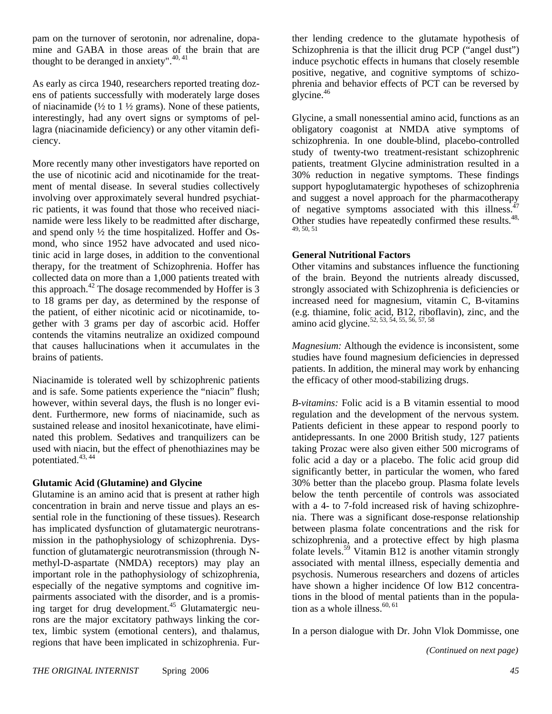pam on the turnover of serotonin, nor adrenaline, dopamine and GABA in those areas of the brain that are thought to be deranged in anxiety". $40,41$ 

As early as circa 1940, researchers reported treating dozens of patients successfully with moderately large doses of niacinamide  $\frac{1}{2}$  to  $\frac{1}{2}$  grams). None of these patients, interestingly, had any overt signs or symptoms of pellagra (niacinamide deficiency) or any other vitamin deficiency.

More recently many other investigators have reported on the use of nicotinic acid and nicotinamide for the treatment of mental disease. In several studies collectively involving over approximately several hundred psychiatric patients, it was found that those who received niacinamide were less likely to be readmitted after discharge, and spend only ½ the time hospitalized. Hoffer and Osmond, who since 1952 have advocated and used nicotinic acid in large doses, in addition to the conventional therapy, for the treatment of Schizophrenia. Hoffer has collected data on more than a 1,000 patients treated with this approach.<sup>42</sup> The dosage recommended by Hoffer is  $3$ to 18 grams per day, as determined by the response of the patient, of either nicotinic acid or nicotinamide, together with 3 grams per day of ascorbic acid. Hoffer contends the vitamins neutralize an oxidized compound that causes hallucinations when it accumulates in the brains of patients.

Niacinamide is tolerated well by schizophrenic patients and is safe. Some patients experience the "niacin" flush; however, within several days, the flush is no longer evident. Furthermore, new forms of niacinamide, such as sustained release and inositol hexanicotinate, have eliminated this problem. Sedatives and tranquilizers can be used with niacin, but the effect of phenothiazines may be potentiated.<sup>43, 44</sup>

### **Glutamic Acid (Glutamine) and Glycine**

Glutamine is an amino acid that is present at rather high concentration in brain and nerve tissue and plays an essential role in the functioning of these tissues). Research has implicated dysfunction of glutamatergic neurotransmission in the pathophysiology of schizophrenia. Dysfunction of glutamatergic neurotransmission (through Nmethyl-D-aspartate (NMDA) receptors) may play an important role in the pathophysiology of schizophrenia, especially of the negative symptoms and cognitive impairments associated with the disorder, and is a promising target for drug development.<sup>45</sup> Glutamatergic neurons are the major excitatory pathways linking the cortex, limbic system (emotional centers), and thalamus, regions that have been implicated in schizophrenia. Further lending credence to the glutamate hypothesis of Schizophrenia is that the illicit drug PCP ("angel dust") induce psychotic effects in humans that closely resemble positive, negative, and cognitive symptoms of schizophrenia and behavior effects of PCT can be reversed by  $q$ lycine.<sup>46</sup>

Glycine, a small nonessential amino acid, functions as an obligatory coagonist at NMDA ative symptoms of schizophrenia. In one double-blind, placebo-controlled study of twenty-two treatment-resistant schizophrenic patients, treatment Glycine administration resulted in a 30% reduction in negative symptoms. These findings support hypoglutamatergic hypotheses of schizophrenia and suggest a novel approach for the pharmacotherapy of negative symptoms associated with this illness. $47$ Other studies have repeatedly confirmed these results.<sup>48,</sup> 49, 50, 51

#### **General Nutritional Factors**

Other vitamins and substances influence the functioning of the brain. Beyond the nutrients already discussed, strongly associated with Schizophrenia is deficiencies or increased need for magnesium, vitamin C, B-vitamins (e.g. thiamine, folic acid, B12, riboflavin), zinc, and the amino acid glycine.<sup>52, 53, 54, 55, 56, 57, 58</sup>

*Magnesium:* Although the evidence is inconsistent, some studies have found magnesium deficiencies in depressed patients. In addition, the mineral may work by enhancing the efficacy of other mood-stabilizing drugs.

*B-vitamins:* Folic acid is a B vitamin essential to mood regulation and the development of the nervous system. Patients deficient in these appear to respond poorly to antidepressants. In one 2000 British study, 127 patients taking Prozac were also given either 500 micrograms of folic acid a day or a placebo. The folic acid group did significantly better, in particular the women, who fared 30% better than the placebo group. Plasma folate levels below the tenth percentile of controls was associated with a 4- to 7-fold increased risk of having schizophrenia. There was a significant dose-response relationship between plasma folate concentrations and the risk for schizophrenia, and a protective effect by high plasma folate levels.<sup>59</sup> Vitamin B12 is another vitamin strongly associated with mental illness, especially dementia and psychosis. Numerous researchers and dozens of articles have shown a higher incidence Of low B12 concentrations in the blood of mental patients than in the population as a whole illness. $60, 61$ 

In a person dialogue with Dr. John Vlok Dommisse, one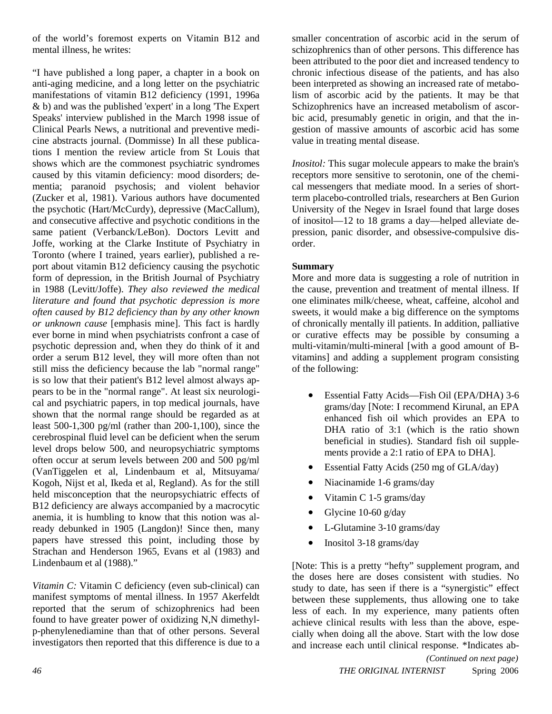of the world's foremost experts on Vitamin B12 and mental illness, he writes:

"I have published a long paper, a chapter in a book on anti-aging medicine, and a long letter on the psychiatric manifestations of vitamin B12 deficiency (1991, 1996a & b) and was the published 'expert' in a long 'The Expert Speaks' interview published in the March 1998 issue of Clinical Pearls News, a nutritional and preventive medicine abstracts journal. (Dommisse) In all these publications I mention the review article from St Louis that shows which are the commonest psychiatric syndromes caused by this vitamin deficiency: mood disorders; dementia; paranoid psychosis; and violent behavior (Zucker et al, 1981). Various authors have documented the psychotic (Hart/McCurdy), depressive (MacCallum), and consecutive affective and psychotic conditions in the same patient (Verbanck/LeBon). Doctors Levitt and Joffe, working at the Clarke Institute of Psychiatry in Toronto (where I trained, years earlier), published a report about vitamin B12 deficiency causing the psychotic form of depression, in the British Journal of Psychiatry in 1988 (Levitt/Joffe). *They also reviewed the medical literature and found that psychotic depression is more often caused by B12 deficiency than by any other known or unknown cause* [emphasis mine]. This fact is hardly ever borne in mind when psychiatrists confront a case of psychotic depression and, when they do think of it and order a serum B12 level, they will more often than not still miss the deficiency because the lab "normal range" is so low that their patient's B12 level almost always appears to be in the "normal range". At least six neurological and psychiatric papers, in top medical journals, have shown that the normal range should be regarded as at least 500-1,300 pg/ml (rather than 200-1,100), since the cerebrospinal fluid level can be deficient when the serum level drops below 500, and neuropsychiatric symptoms often occur at serum levels between 200 and 500 pg/ml (VanTiggelen et al, Lindenbaum et al, Mitsuyama/ Kogoh, Nijst et al, Ikeda et al, Regland). As for the still held misconception that the neuropsychiatric effects of B12 deficiency are always accompanied by a macrocytic anemia, it is humbling to know that this notion was already debunked in 1905 (Langdon)! Since then, many papers have stressed this point, including those by Strachan and Henderson 1965, Evans et al (1983) and Lindenbaum et al (1988)."

*Vitamin C:* Vitamin C deficiency (even sub-clinical) can manifest symptoms of mental illness. In 1957 Akerfeldt reported that the serum of schizophrenics had been found to have greater power of oxidizing N,N dimethylp-phenylenediamine than that of other persons. Several investigators then reported that this difference is due to a smaller concentration of ascorbic acid in the serum of schizophrenics than of other persons. This difference has been attributed to the poor diet and increased tendency to chronic infectious disease of the patients, and has also been interpreted as showing an increased rate of metabolism of ascorbic acid by the patients. It may be that Schizophrenics have an increased metabolism of ascorbic acid, presumably genetic in origin, and that the ingestion of massive amounts of ascorbic acid has some value in treating mental disease.

*Inositol:* This sugar molecule appears to make the brain's receptors more sensitive to serotonin, one of the chemical messengers that mediate mood. In a series of shortterm placebo-controlled trials, researchers at Ben Gurion University of the Negev in Israel found that large doses of inositol—12 to 18 grams a day—helped alleviate depression, panic disorder, and obsessive-compulsive disorder.

### **Summary**

More and more data is suggesting a role of nutrition in the cause, prevention and treatment of mental illness. If one eliminates milk/cheese, wheat, caffeine, alcohol and sweets, it would make a big difference on the symptoms of chronically mentally ill patients. In addition, palliative or curative effects may be possible by consuming a multi-vitamin/multi-mineral [with a good amount of Bvitamins] and adding a supplement program consisting of the following:

- Essential Fatty Acids—Fish Oil (EPA/DHA) 3-6 grams/day [Note: I recommend Kirunal, an EPA enhanced fish oil which provides an EPA to DHA ratio of 3:1 (which is the ratio shown beneficial in studies). Standard fish oil supplements provide a 2:1 ratio of EPA to DHA].
- Essential Fatty Acids (250 mg of GLA/day)
- Niacinamide 1-6 grams/day
- Vitamin C 1-5 grams/day
- Glycine 10-60  $g/day$
- L-Glutamine 3-10 grams/day
- Inositol 3-18 grams/day

[Note: This is a pretty "hefty" supplement program, and the doses here are doses consistent with studies. No study to date, has seen if there is a "synergistic" effect between these supplements, thus allowing one to take less of each. In my experience, many patients often achieve clinical results with less than the above, especially when doing all the above. Start with the low dose and increase each until clinical response. \*Indicates ab-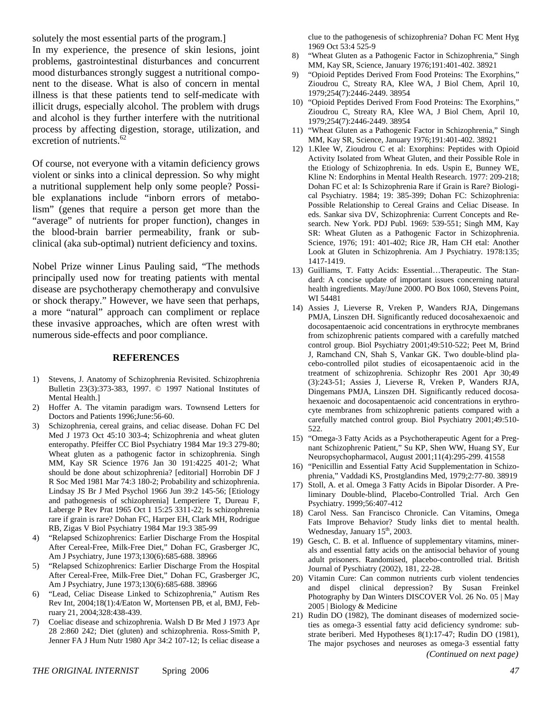solutely the most essential parts of the program.] In my experience, the presence of skin lesions, joint problems, gastrointestinal disturbances and concurrent mood disturbances strongly suggest a nutritional component to the disease. What is also of concern in mental illness is that these patients tend to self-medicate with illicit drugs, especially alcohol. The problem with drugs and alcohol is they further interfere with the nutritional process by affecting digestion, storage, utilization, and excretion of nutrients.<sup>62</sup>

Of course, not everyone with a vitamin deficiency grows violent or sinks into a clinical depression. So why might a nutritional supplement help only some people? Possible explanations include "inborn errors of metabolism" (genes that require a person get more than the "average" of nutrients for proper function), changes in the blood-brain barrier permeability, frank or subclinical (aka sub-optimal) nutrient deficiency and toxins.

Nobel Prize winner Linus Pauling said, "The methods principally used now for treating patients with mental disease are psychotherapy chemotherapy and convulsive or shock therapy." However, we have seen that perhaps, a more "natural" approach can compliment or replace these invasive approaches, which are often wrest with numerous side-effects and poor compliance.

#### **REFERENCES**

- 1) Stevens, J. Anatomy of Schizophrenia Revisited. Schizophrenia Bulletin 23(3):373-383, 1997. © 1997 National Institutes of Mental Health.]
- 2) Hoffer A. The vitamin paradigm wars. Townsend Letters for Doctors and Patients 1996;June:56-60.
- 3) Schizophrenia, cereal grains, and celiac disease. Dohan FC Del Med J 1973 Oct 45:10 303-4; Schizophrenia and wheat gluten enteropathy. Pfeiffer CC Biol Psychiatry 1984 Mar 19:3 279-80; Wheat gluten as a pathogenic factor in schizophrenia. Singh MM, Kay SR Science 1976 Jan 30 191:4225 401-2; What should be done about schizophrenia? [editorial] Horrobin DF J R Soc Med 1981 Mar 74:3 180-2; Probability and schizophrenia. Lindsay JS Br J Med Psychol 1966 Jun 39:2 145-56; [Etiology and pathogenesis of schizophrenia] Lemperiere T, Dureau F, Laberge P Rev Prat 1965 Oct 1 15:25 3311-22; Is schizophrenia rare if grain is rare? Dohan FC, Harper EH, Clark MH, Rodrigue RB, Zigas V Biol Psychiatry 1984 Mar 19:3 385-99
- 4) "Relapsed Schizophrenics: Earlier Discharge From the Hospital After Cereal-Free, Milk-Free Diet," Dohan FC, Grasberger JC, Am J Psychiatry, June 1973;130(6):685-688. 38966
- 5) "Relapsed Schizophrenics: Earlier Discharge From the Hospital After Cereal-Free, Milk-Free Diet," Dohan FC, Grasberger JC, Am J Psychiatry, June 1973;130(6):685-688. 38966
- 6) "Lead, Celiac Disease Linked to Schizophrenia," Autism Res Rev Int, 2004;18(1):4/Eaton W, Mortensen PB, et al, BMJ, February 21, 2004;328:438-439.
- 7) Coeliac disease and schizophrenia. Walsh D Br Med J 1973 Apr 28 2:860 242; Diet (gluten) and schizophrenia. Ross-Smith P, Jenner FA J Hum Nutr 1980 Apr 34:2 107-12; Is celiac disease a

clue to the pathogenesis of schizophrenia? Dohan FC Ment Hyg 1969 Oct 53:4 525-9

- 8) "Wheat Gluten as a Pathogenic Factor in Schizophrenia," Singh MM, Kay SR, Science, January 1976;191:401-402. 38921
- 9) "Opioid Peptides Derived From Food Proteins: The Exorphins," Zioudrou C, Streaty RA, Klee WA, J Biol Chem, April 10, 1979;254(7):2446-2449. 38954
- 10) "Opioid Peptides Derived From Food Proteins: The Exorphins," Zioudrou C, Streaty RA, Klee WA, J Biol Chem, April 10, 1979;254(7):2446-2449. 38954
- 11) "Wheat Gluten as a Pathogenic Factor in Schizophrenia," Singh MM, Kay SR, Science, January 1976;191:401-402. 38921
- 12) 1.Klee W, Zioudrou C et al: Exorphins: Peptides with Opioid Activity Isolated from Wheat Gluten, and their Possible Role in the Etiology of Schizophrenia. In eds. Uspin E, Bunney WE, Kline N: Endorphins in Mental Health Research. 1977: 209-218; Dohan FC et al: Is Schizophrenia Rare if Grain is Rare? Biological Psychiatry. 1984; 19: 385-399; Dohan FC: Schizophrenia: Possible Relationship to Cereal Grains and Celiac Disease. In eds. Sankar siva DV, Schizophrenia: Current Concepts and Research. New York. PDJ Publ. 1969: 539-551; Singh MM, Kay SR: Wheat Gluten as a Pathogenic Factor in Schizophrenia. Science, 1976; 191: 401-402; Rice JR, Ham CH etal: Another Look at Gluten in Schizophrenia. Am J Psychiatry. 1978:135; 1417-1419.
- 13) Guilliams, T. Fatty Acids: Essential…Therapeutic. The Standard: A concise update of important issues concerning natural health ingredients. May/June 2000. PO Box 1060, Stevens Point, WI 54481
- 14) Assies J, Lieverse R, Vreken P, Wanders RJA, Dingemans PMJA, Linszen DH. Significantly reduced docosahexaenoic and docosapentaenoic acid concentrations in erythrocyte membranes from schizophrenic patients compared with a carefully matched control group. Biol Psychiatry 2001;49:510-522; Peet M, Brind J, Ramchand CN, Shah S, Vankar GK. Two double-blind placebo-controlled pilot studies of eicosapentaenoic acid in the treatment of schizophrenia. Schizophr Res 2001 Apr 30;49 (3):243-51; Assies J, Lieverse R, Vreken P, Wanders RJA, Dingemans PMJA, Linszen DH. Significantly reduced docosahexaenoic and docosapentaenoic acid concentrations in erythrocyte membranes from schizophrenic patients compared with a carefully matched control group. Biol Psychiatry 2001;49:510- 522.
- 15) "Omega-3 Fatty Acids as a Psychotherapeutic Agent for a Pregnant Schizophrenic Patient," Su KP, Shen WW, Huang SY, Eur Neuropsychopharmacol, August 2001;11(4):295-299. 41558
- 16) "Penicillin and Essential Fatty Acid Supplementation in Schizophrenia," Vaddadi KS, Prostglandins Med, 1979;2:77-80. 38919
- 17) Stoll, A. et al. Omega 3 Fatty Acids in Bipolar Disorder. A Preliminary Double-blind, Placebo-Controlled Trial. Arch Gen Psychiatry. 1999;56:407-412
- 18) Carol Ness. San Francisco Chronicle. Can Vitamins, Omega Fats Improve Behavior? Study links diet to mental health. Wednesday, January 15<sup>th</sup>, 2003.
- 19) Gesch, C. B. et al. Influence of supplementary vitamins, minerals and essential fatty acids on the antisocial behavior of young adult prisoners. Randomised, placebo-controlled trial. British Journal of Pyschiatry (2002), 181, 22-28.
- 20) Vitamin Cure: Can common nutrients curb violent tendencies and dispel clinical depression? By Susan Freinkel Photography by Dan Winters DISCOVER Vol. 26 No. 05 | May 2005 | Biology & Medicine
- 21) Rudin DO (1982), The dominant diseases of modernized societies as omega-3 essential fatty acid deficiency syndrome: substrate beriberi. Med Hypotheses 8(1):17-47; Rudin DO (1981), The major psychoses and neuroses as omega-3 essential fatty *(Continued on next page)*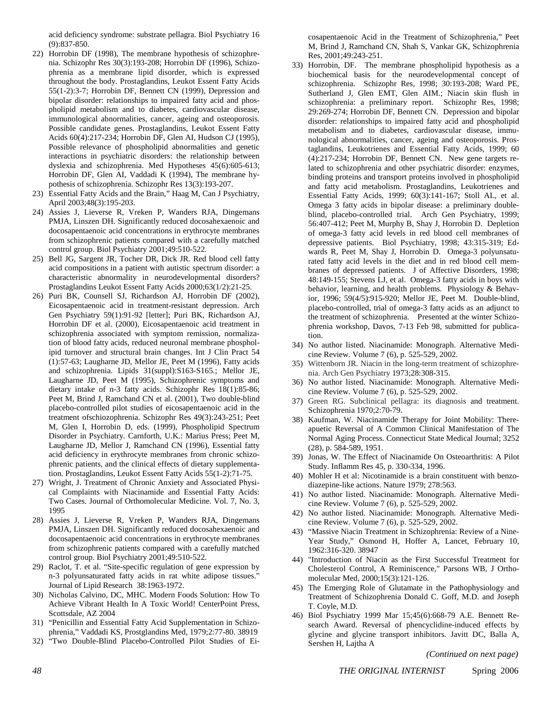acid deficiency syndrome: substrate pellagra. Biol Psychiatry 16 (9):837-850.

- 22) Horrobin DF (1998), The membrane hypothesis of schizophrenia. Schizophr Res 30(3):193-208; Horrobin DF (1996), Schizophrenia as a membrane lipid disorder, which is expressed throughout the body. Prostaglandins, Leukot Essent Fatty Acids 55(1-2):3-7; Horrobin DF, Bennett CN (1999), Depression and bipolar disorder: relationships to impaired fatty acid and phospholipid metabolism and to diabetes, cardiovascular disease, immunological abnormalities, cancer, ageing and osteoporosis. Possible candidate genes. Prostaglandins, Leukot Essent Fatty Acids 60(4):217-234; Horrobin DF, Glen AI, Hudson CJ (1995), Possible relevance of phospholipid abnormalities and genetic interactions in psychiatric disorders: the relationship between dyslexia and schizophrenia. Med Hypotheses 45(6):605-613; Horrobin DF, Glen AI, Vaddadi K (1994), The membrane hypothesis of schizophrenia. Schizophr Res 13(3):193-207.
- 23) Essential Fatty Acids and the Brain," Haag M, Can J Psychiatry, April 2003;48(3):195-203.
- 24) Assies J, Lieverse R, Vreken P, Wanders RJA, Dingemans PMJA, Linszen DH. Significantly reduced docosahexaenoic and docosapentaenoic acid concentrations in erythrocyte membranes from schizophrenic patients compared with a carefully matched control group. Biol Psychiatry 2001;49:510-522.
- 25) Bell JG, Sargent JR, Tocher DR, Dick JR. Red blood cell fatty acid compositions in a patient with autistic spectrum disorder: a characteristic abnormality in neurodevelopmental disorders? Prostaglandins Leukot Essent Fatty Acids 2000;63(1/2):21-25.
- 26) Puri BK, Counsell SJ, Richardson AJ, Horrobin DF (2002), Eicosapentaenoic acid in treatment-resistant depression. Arch Gen Psychiatry 59(1):91-92 [letter]; Puri BK, Richardson AJ, Horrobin DF et al. (2000), Eicosapentaenoic acid treatment in schizophrenia associated with symptom remission, normalization of blood fatty acids, reduced neuronal membrane phospholipid turnover and structural brain changes. Int J Clin Pract 54 (1):57-63; Laugharne JD, Mellor JE, Peet M (1996), Fatty acids and schizophrenia. Lipids 31(suppl):S163-S165.; Mellor JE, Laugharne JD, Peet M (1995), Schizophrenic symptoms and dietary intake of n-3 fatty acids. Schizophr Res 18(1):85-86; Peet M, Brind J, Ramchand CN et al. (2001), Two double-blind placebo-controlled pilot studies of eicosapentaenoic acid in the treatment ofschiozophrenia. Schizophr Res 49(3):243-251; Peet M, Glen I, Horrobin D, eds. (1999), Phospholipid Spectrum Disorder in Psychiatry. Carnforth, U.K.: Marius Press; Peet M, Laugharne JD, Mellor J, Ramchand CN (1996), Essential fatty acid deficiency in erythrocyte membranes from chronic schizophrenic patients, and the clinical effects of dietary supplementation. Prostaglandins, Leukot Essent Fatty Acids 55(1-2):71-75.
- 27) Wright, J. Treatment of Chronic Anxiety and Associated Physical Complaints with Niacinamide and Essential Fatty Acids: Two Cases. Journal of Orthomolecular Medicine. Vol. 7, No. 3, 1995
- 28) Assies J, Lieverse R, Vreken P, Wanders RJA, Dingemans PMJA, Linszen DH. Significantly reduced docosahexaenoic and docosapentaenoic acid concentrations in erythrocyte membranes from schizophrenic patients compared with a carefully matched control group. Biol Psychiatry 2001;49:510-522.
- 29) Raclot, T. et al. "Site-specific regulation of gene expression by n-3 polyunsaturated fatty acids in rat white adipose tissues." Journal of Lipid Research 38:1963-1972.
- 30) Nicholas Calvino, DC, MHC. Modern Foods Solution: How To Achieve Vibrant Health In A Toxic World! CenterPoint Press, Scottsdale, AZ 2004
- 31) "Penicillin and Essential Fatty Acid Supplementation in Schizophrenia," Vaddadi KS, Prostglandins Med, 1979;2:77-80. 38919
- 32) "Two Double-Blind Placebo-Controlled Pilot Studies of Ei-

cosapentaenoic Acid in the Treatment of Schizophrenia," Peet M, Brind J, Ramchand CN, Shah S, Vankar GK, Schizophrenia Res, 2001;49:243-251.

- 33) Horrobin, DF. The membrane phospholipid hypothesis as a biochemical basis for the neurodevelopmental concept of schizophrenia. Schizophr Res, 1998; 30:193-208; Ward PE, Sutherland J, Glen EMT, Glen AIM.; Niacin skin flush in schizophrenia: a preliminary report. Schizophr Res, 1998; 29:269-274; Horrobin DF, Bennett CN. Depression and bipolar disorder: relationships to impaired fatty acid and phospholipid metabolism and to diabetes, cardiovascular disease, immunological abnormalities, cancer, ageing and osteoporosis. Prostaglandins, Leukotrienes and Essential Fatty Acids, 1999; 60 (4):217-234; Horrobin DF, Bennett CN. New gene targets related to schizophrenia and other psychiatric disorder: enzymes, binding proteins and transport proteins involved in phospholipid and fatty acid metabolism. Prostaglandins, Leukotrienes and Essential Fatty Acids, 1999; 60(3):141-167; Stoll AL, et al. Omega 3 fatty acids in bipolar disease: a preliminary doubleblind, placebo-controlled trial. Arch Gen Psychiatry, 1999; 56:407-412; Peet M, Murphy B, Shay J, Horrobin D. Depletion of omega-3 fatty acid levels in red blood cell membranes of depressive patients. Biol Psychiatry, 1998; 43:315-319; Edwards R, Peet M, Shay J, Horrobin D. Omega-3 polyunsaturated fatty acid levels in the diet and in red blood cell membranes of depressed patients. J of Affective Disorders, 1998; 48:149-155; Stevens LJ, et al. Omega-3 fatty acids in boys with behavior, learning, and health problems. Physiology & Behavior, 1996; 59(4/5):915-920; Mellor JE, Peet M. Double-blind, placebo-controlled, trial of omega-3 fatty acids as an adjunct to the treatment of schizophrenia. Presented at the winter Schizophrenia workshop, Davos, 7-13 Feb 98, submitted for publication.
- 34) No author listed. Niacinamide: Monograph. Alternative Medicine Review. Volume 7 (6), p. 525-529, 2002.
- 35) Wittenborn JR. Niacin in the long-term treatment of schizophrenia. Arch Gen Psychiatry 1973;28:308-315.
- 36) No author listed. Niacinamide: Monograph. Alternative Medicine Review. Volume 7 (6), p. 525-529, 2002.
- 37) Green RG. Subclinical pellagra: its diagnosis and treatment. Schizophrenia 1970;2:70-79.
- 38) Kaufman, W. Niacinamide Therapy for Joint Mobility: Thereapuetic Reversal of A Common Clinical Manifestation of The Normal Aging Process. Connecticut State Medical Journal; 3252 (28), p. 584-589, 1951.
- 39) Jonas, W. The Effect of Niacinamide On Osteoarthritis: A Pilot Study. Inflamm Res 45, p. 330-334, 1996.
- 40) Mohler H et al: Nicotinamide is a brain constituent with benzodiazepine-like actions. Nature 1979; 278:563.
- 41) No author listed. Niacinamide: Monograph. Alternative Medicine Review. Volume 7 (6), p. 525-529, 2002.
- 42) No author listed. Niacinamide: Monograph. Alternative Medicine Review. Volume 7 (6), p. 525-529, 2002.
- 43) "Massive Niacin Treatment in Schizophrenia: Review of a Nine-Year Study," Osmond H, Hoffer A, Lancet, February 10, 1962:316-320. 38947
- 44) "Introduction of Niacin as the First Successful Treatment for Cholesterol Control, A Reminiscence," Parsons WB, J Orthomolecular Med, 2000;15(3):121-126.
- 45) The Emerging Role of Glutamate in the Pathophysiology and Treatment of Schizophrenia Donald C. Goff, M.D. and Joseph T. Coyle, M.D.
- 46) Biol Psychiatry 1999 Mar 15;45(6):668-79 A.E. Bennett Research Award. Reversal of phencyclidine-induced effects by glycine and glycine transport inhibitors. Javitt DC, Balla A, Sershen H, Lajtha A

*(Continued on next page)* 

*48 THE ORIGINAL INTERNIST* Spring 2006